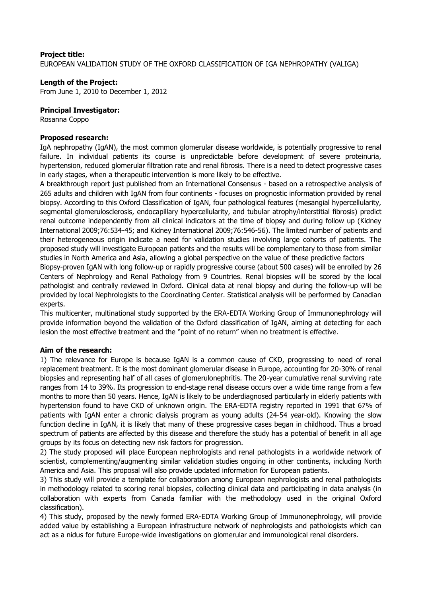## **Project title:**

EUROPEAN VALIDATION STUDY OF THE OXFORD CLASSIFICATION OF IGA NEPHROPATHY (VALIGA)

## **Length of the Project:**

From June 1, 2010 to December 1, 2012

#### **Principal Investigator:**

Rosanna Coppo

### **Proposed research:**

IgA nephropathy (IgAN), the most common glomerular disease worldwide, is potentially progressive to renal failure. In individual patients its course is unpredictable before development of severe proteinuria, hypertension, reduced glomerular filtration rate and renal fibrosis. There is a need to detect progressive cases in early stages, when a therapeutic intervention is more likely to be effective.

A breakthrough report just published from an International Consensus - based on a retrospective analysis of 265 adults and children with IgAN from four continents - focuses on prognostic information provided by renal biopsy. According to this Oxford Classification of IgAN, four pathological features (mesangial hypercellularity, segmental glomerulosclerosis, endocapillary hypercellularity, and tubular atrophy/interstitial fibrosis) predict renal outcome independently from all clinical indicators at the time of biopsy and during follow up (Kidney International 2009;76:534-45; and Kidney International 2009;76:546-56). The limited number of patients and their heterogeneous origin indicate a need for validation studies involving large cohorts of patients. The proposed study will investigate European patients and the results will be complementary to those from similar studies in North America and Asia, allowing a global perspective on the value of these predictive factors

Biopsy-proven IgAN with long follow-up or rapidly progressive course (about 500 cases) will be enrolled by 26 Centers of Nephrology and Renal Pathology from 9 Countries. Renal biopsies will be scored by the local pathologist and centrally reviewed in Oxford. Clinical data at renal biopsy and during the follow-up will be provided by local Nephrologists to the Coordinating Center. Statistical analysis will be performed by Canadian experts.

This multicenter, multinational study supported by the ERA-EDTA Working Group of Immunonephrology will provide information beyond the validation of the Oxford classification of IgAN, aiming at detecting for each lesion the most effective treatment and the "point of no return" when no treatment is effective.

#### **Aim of the research:**

1) The relevance for Europe is because IgAN is a common cause of CKD, progressing to need of renal replacement treatment. It is the most dominant glomerular disease in Europe, accounting for 20-30% of renal biopsies and representing half of all cases of glomerulonephritis. The 20-year cumulative renal surviving rate ranges from 14 to 39%. Its progression to end-stage renal disease occurs over a wide time range from a few months to more than 50 years. Hence, IgAN is likely to be underdiagnosed particularly in elderly patients with hypertension found to have CKD of unknown origin. The ERA-EDTA registry reported in 1991 that 67% of patients with IgAN enter a chronic dialysis program as young adults (24-54 year-old). Knowing the slow function decline in IgAN, it is likely that many of these progressive cases began in childhood. Thus a broad spectrum of patients are affected by this disease and therefore the study has a potential of benefit in all age groups by its focus on detecting new risk factors for progression.

2) The study proposed will place European nephrologists and renal pathologists in a worldwide network of scientist, complementing/augmenting similar validation studies ongoing in other continents, including North America and Asia. This proposal will also provide updated information for European patients.

3) This study will provide a template for collaboration among European nephrologists and renal pathologists in methodology related to scoring renal biopsies, collecting clinical data and participating in data analysis (in collaboration with experts from Canada familiar with the methodology used in the original Oxford classification).

4) This study, proposed by the newly formed ERA-EDTA Working Group of Immunonephrology, will provide added value by establishing a European infrastructure network of nephrologists and pathologists which can act as a nidus for future Europe-wide investigations on glomerular and immunological renal disorders.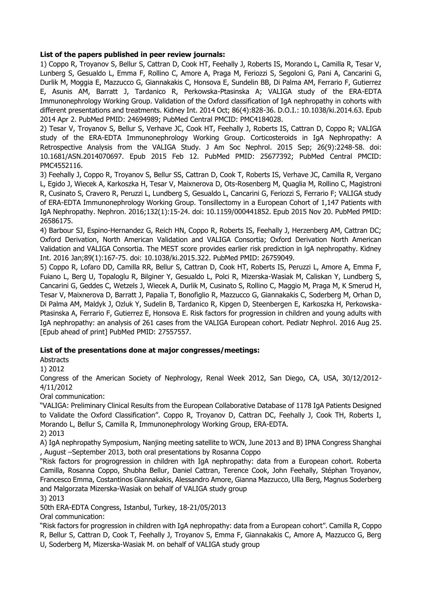# **List of the papers published in peer review journals:**

1) Coppo R, Troyanov S, Bellur S, Cattran D, Cook HT, Feehally J, Roberts IS, Morando L, Camilla R, Tesar V, Lunberg S, Gesualdo L, Emma F, Rollino C, Amore A, Praga M, Feriozzi S, Segoloni G, Pani A, Cancarini G, Durlik M, Moggia E, Mazzucco G, Giannakakis C, Honsova E, Sundelin BB, Di Palma AM, Ferrario F, Gutierrez E, Asunis AM, Barratt J, Tardanico R, Perkowska-Ptasinska A; VALIGA study of the ERA-EDTA Immunonephrology Working Group. Validation of the Oxford classification of IgA nephropathy in cohorts with different presentations and treatments. Kidney Int. 2014 Oct; 86(4):828-36. D.O.I.: 10.1038/ki.2014.63. Epub 2014 Apr 2. PubMed PMID: 24694989; PubMed Central PMCID: PMC4184028.

2) Tesar V, Troyanov S, Bellur S, Verhave JC, Cook HT, Feehally J, Roberts IS, Cattran D, Coppo R; VALIGA study of the ERA-EDTA Immunonephrology Working Group. Corticosteroids in IgA Nephropathy: A Retrospective Analysis from the VALIGA Study. J Am Soc Nephrol. 2015 Sep; 26(9):2248-58. doi: 10.1681/ASN.2014070697. Epub 2015 Feb 12. PubMed PMID: 25677392; PubMed Central PMCID: PMC4552116.

3) Feehally J, Coppo R, Troyanov S, Bellur SS, Cattran D, Cook T, Roberts IS, Verhave JC, Camilla R, Vergano L, Egido J, Wiecek A, Karkoszka H, Tesar V, Maixnerova D, Ots-Rosenberg M, Quaglia M, Rollino C, Magistroni R, Cusinato S, Cravero R, Peruzzi L, Lundberg S, Gesualdo L, Cancarini G, Feriozzi S, Ferrario F; VALIGA study of ERA-EDTA Immunonephrology Working Group. Tonsillectomy in a European Cohort of 1,147 Patients with IgA Nephropathy. Nephron. 2016;132(1):15-24. doi: 10.1159/000441852. Epub 2015 Nov 20. PubMed PMID: 26586175.

4) Barbour SJ, Espino-Hernandez G, Reich HN, Coppo R, Roberts IS, Feehally J, Herzenberg AM, Cattran DC; Oxford Derivation, North American Validation and VALIGA Consortia; Oxford Derivation North American Validation and VALIGA Consortia. The MEST score provides earlier risk prediction in lgA nephropathy. Kidney Int. 2016 Jan;89(1):167-75. doi: 10.1038/ki.2015.322. PubMed PMID: 26759049.

5) Coppo R, Lofaro DD, Camilla RR, Bellur S, Cattran D, Cook HT, Roberts IS, Peruzzi L, Amore A, Emma F, Fuiano L, Berg U, Topaloglu R, Bilginer Y, Gesualdo L, Polci R, Mizerska-Wasiak M, Caliskan Y, Lundberg S, Cancarini G, Geddes C, Wetzels J, Wiecek A, Durlik M, Cusinato S, Rollino C, Maggio M, Praga M, K Smerud H, Tesar V, Maixnerova D, Barratt J, Papalia T, Bonofiglio R, Mazzucco G, Giannakakis C, Soderberg M, Orhan D, Di Palma AM, Maldyk J, Ozluk Y, Sudelin B, Tardanico R, Kipgen D, Steenbergen E, Karkoszka H, Perkowska-Ptasinska A, Ferrario F, Gutierrez E, Honsova E. Risk factors for progression in children and young adults with IgA nephropathy: an analysis of 261 cases from the VALIGA European cohort. Pediatr Nephrol. 2016 Aug 25. [Epub ahead of print] PubMed PMID: 27557557.

# **List of the presentations done at major congresses/meetings:**

Abstracts

1) 2012

Congress of the American Society of Nephrology, Renal Week 2012, San Diego, CA, USA, 30/12/2012- 4/11/2012

#### Oral communication:

"VALIGA: Preliminary Clinical Results from the European Collaborative Database of 1178 IgA Patients Designed to Validate the Oxford Classification". Coppo R, Troyanov D, Cattran DC, Feehally J, Cook TH, Roberts I, Morando L, Bellur S, Camilla R, Immunonephrology Working Group, ERA-EDTA. 2) 2013

A) IgA nephropathy Symposium, Nanjing meeting satellite to WCN, June 2013 and B) IPNA Congress Shanghai , August –September 2013, both oral presentations by Rosanna Coppo

"Risk factors for progrogression in children with IgA nephropathy: data from a European cohort. Roberta Camilla, Rosanna Coppo, Shubha Bellur, Daniel Cattran, Terence Cook, John Feehally, Stéphan Troyanov, Francesco Emma, Costantinos Giannakakis, Alessandro Amore, Gianna Mazzucco, Ulla Berg, Magnus Soderberg and Malgorzata Mizerska-Wasiak on behalf of VALIGA study group

3) 2013

50th ERA-EDTA Congress, Istanbul, Turkey, 18-21/05/2013

Oral communication:

"Risk factors for progression in children with IgA nephropathy: data from a European cohort". Camilla R, Coppo R, Bellur S, Cattran D, Cook T, Feehally J, Troyanov S, Emma F, Giannakakis C, Amore A, Mazzucco G, Berg U, Soderberg M, Mizerska-Wasiak M. on behalf of VALIGA study group